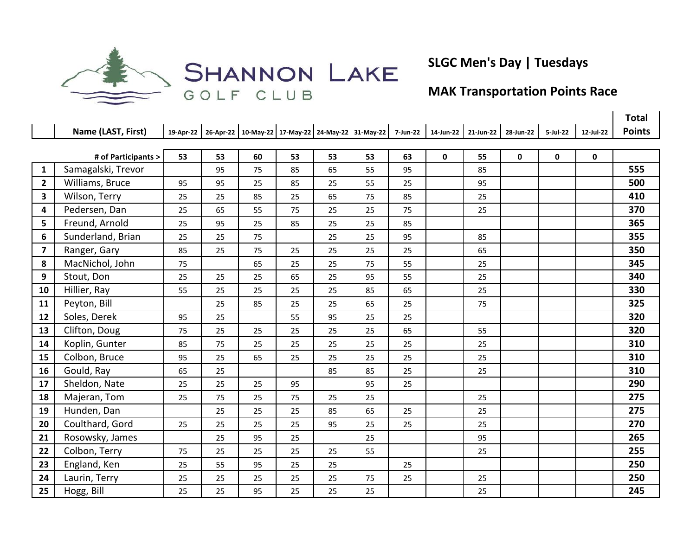

SHANNON LAKE

## **SLGC Men's Day | Tuesdays**

## **MAK Transportation Points Race**

|                         |                     |    |    |    |    |    |                                                                                                    |    |   |    |             |             |             | <b>Total</b>  |
|-------------------------|---------------------|----|----|----|----|----|----------------------------------------------------------------------------------------------------|----|---|----|-------------|-------------|-------------|---------------|
|                         | Name (LAST, First)  |    |    |    |    |    | 19-Apr-22 26-Apr-22 10-May-22 17-May-22 24-May-22 31-May-22 7-Jun-22 14-Jun-22 21-Jun-22 28-Jun-22 |    |   |    |             | 5-Jul-22    | 12-Jul-22   | <b>Points</b> |
|                         |                     |    |    |    |    |    |                                                                                                    |    |   |    |             |             |             |               |
|                         | # of Participants > | 53 | 53 | 60 | 53 | 53 | 53                                                                                                 | 63 | 0 | 55 | $\mathbf 0$ | $\mathbf 0$ | $\mathbf 0$ |               |
| $\mathbf{1}$            | Samagalski, Trevor  |    | 95 | 75 | 85 | 65 | 55                                                                                                 | 95 |   | 85 |             |             |             | 555           |
| $\overline{2}$          | Williams, Bruce     | 95 | 95 | 25 | 85 | 25 | 55                                                                                                 | 25 |   | 95 |             |             |             | 500           |
| $\overline{\mathbf{3}}$ | Wilson, Terry       | 25 | 25 | 85 | 25 | 65 | 75                                                                                                 | 85 |   | 25 |             |             |             | 410           |
| 4                       | Pedersen, Dan       | 25 | 65 | 55 | 75 | 25 | 25                                                                                                 | 75 |   | 25 |             |             |             | 370           |
| 5                       | Freund, Arnold      | 25 | 95 | 25 | 85 | 25 | 25                                                                                                 | 85 |   |    |             |             |             | 365           |
| 6                       | Sunderland, Brian   | 25 | 25 | 75 |    | 25 | 25                                                                                                 | 95 |   | 85 |             |             |             | 355           |
| 7                       | Ranger, Gary        | 85 | 25 | 75 | 25 | 25 | 25                                                                                                 | 25 |   | 65 |             |             |             | 350           |
| 8                       | MacNichol, John     | 75 |    | 65 | 25 | 25 | 75                                                                                                 | 55 |   | 25 |             |             |             | 345           |
| 9                       | Stout, Don          | 25 | 25 | 25 | 65 | 25 | 95                                                                                                 | 55 |   | 25 |             |             |             | 340           |
| 10                      | Hillier, Ray        | 55 | 25 | 25 | 25 | 25 | 85                                                                                                 | 65 |   | 25 |             |             |             | 330           |
| 11                      | Peyton, Bill        |    | 25 | 85 | 25 | 25 | 65                                                                                                 | 25 |   | 75 |             |             |             | 325           |
| 12                      | Soles, Derek        | 95 | 25 |    | 55 | 95 | 25                                                                                                 | 25 |   |    |             |             |             | 320           |
| 13                      | Clifton, Doug       | 75 | 25 | 25 | 25 | 25 | 25                                                                                                 | 65 |   | 55 |             |             |             | 320           |
| 14                      | Koplin, Gunter      | 85 | 75 | 25 | 25 | 25 | 25                                                                                                 | 25 |   | 25 |             |             |             | 310           |
| 15                      | Colbon, Bruce       | 95 | 25 | 65 | 25 | 25 | 25                                                                                                 | 25 |   | 25 |             |             |             | 310           |
| 16                      | Gould, Ray          | 65 | 25 |    |    | 85 | 85                                                                                                 | 25 |   | 25 |             |             |             | 310           |
| 17                      | Sheldon, Nate       | 25 | 25 | 25 | 95 |    | 95                                                                                                 | 25 |   |    |             |             |             | 290           |
| 18                      | Majeran, Tom        | 25 | 75 | 25 | 75 | 25 | 25                                                                                                 |    |   | 25 |             |             |             | 275           |
| 19                      | Hunden, Dan         |    | 25 | 25 | 25 | 85 | 65                                                                                                 | 25 |   | 25 |             |             |             | 275           |
| 20                      | Coulthard, Gord     | 25 | 25 | 25 | 25 | 95 | 25                                                                                                 | 25 |   | 25 |             |             |             | 270           |
| 21                      | Rosowsky, James     |    | 25 | 95 | 25 |    | 25                                                                                                 |    |   | 95 |             |             |             | 265           |
| 22                      | Colbon, Terry       | 75 | 25 | 25 | 25 | 25 | 55                                                                                                 |    |   | 25 |             |             |             | 255           |
| 23                      | England, Ken        | 25 | 55 | 95 | 25 | 25 |                                                                                                    | 25 |   |    |             |             |             | 250           |
| 24                      | Laurin, Terry       | 25 | 25 | 25 | 25 | 25 | 75                                                                                                 | 25 |   | 25 |             |             |             | 250           |
| 25                      | Hogg, Bill          | 25 | 25 | 95 | 25 | 25 | 25                                                                                                 |    |   | 25 |             |             |             | 245           |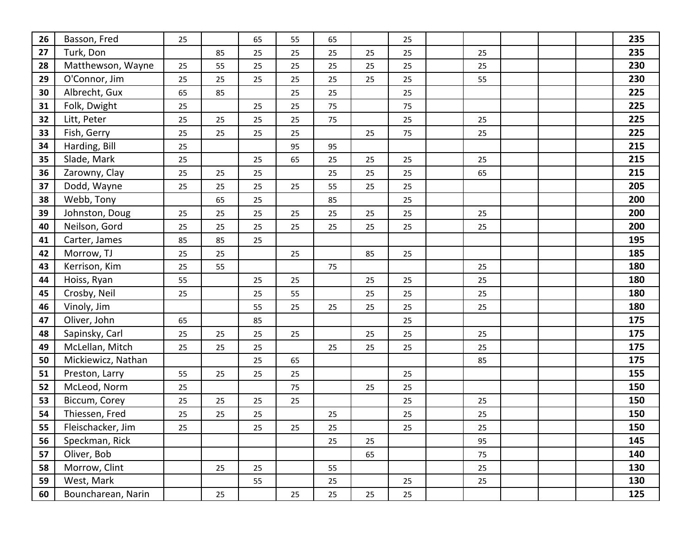| 26 | Basson, Fred       | 25 |    | 65 | 55 | 65 |    | 25 |    |  | 235 |
|----|--------------------|----|----|----|----|----|----|----|----|--|-----|
| 27 | Turk, Don          |    | 85 | 25 | 25 | 25 | 25 | 25 | 25 |  | 235 |
| 28 | Matthewson, Wayne  | 25 | 55 | 25 | 25 | 25 | 25 | 25 | 25 |  | 230 |
| 29 | O'Connor, Jim      | 25 | 25 | 25 | 25 | 25 | 25 | 25 | 55 |  | 230 |
| 30 | Albrecht, Gux      | 65 | 85 |    | 25 | 25 |    | 25 |    |  | 225 |
| 31 | Folk, Dwight       | 25 |    | 25 | 25 | 75 |    | 75 |    |  | 225 |
| 32 | Litt, Peter        | 25 | 25 | 25 | 25 | 75 |    | 25 | 25 |  | 225 |
| 33 | Fish, Gerry        | 25 | 25 | 25 | 25 |    | 25 | 75 | 25 |  | 225 |
| 34 | Harding, Bill      | 25 |    |    | 95 | 95 |    |    |    |  | 215 |
| 35 | Slade, Mark        | 25 |    | 25 | 65 | 25 | 25 | 25 | 25 |  | 215 |
| 36 | Zarowny, Clay      | 25 | 25 | 25 |    | 25 | 25 | 25 | 65 |  | 215 |
| 37 | Dodd, Wayne        | 25 | 25 | 25 | 25 | 55 | 25 | 25 |    |  | 205 |
| 38 | Webb, Tony         |    | 65 | 25 |    | 85 |    | 25 |    |  | 200 |
| 39 | Johnston, Doug     | 25 | 25 | 25 | 25 | 25 | 25 | 25 | 25 |  | 200 |
| 40 | Neilson, Gord      | 25 | 25 | 25 | 25 | 25 | 25 | 25 | 25 |  | 200 |
| 41 | Carter, James      | 85 | 85 | 25 |    |    |    |    |    |  | 195 |
| 42 | Morrow, TJ         | 25 | 25 |    | 25 |    | 85 | 25 |    |  | 185 |
| 43 | Kerrison, Kim      | 25 | 55 |    |    | 75 |    |    | 25 |  | 180 |
| 44 | Hoiss, Ryan        | 55 |    | 25 | 25 |    | 25 | 25 | 25 |  | 180 |
| 45 | Crosby, Neil       | 25 |    | 25 | 55 |    | 25 | 25 | 25 |  | 180 |
| 46 | Vinoly, Jim        |    |    | 55 | 25 | 25 | 25 | 25 | 25 |  | 180 |
| 47 | Oliver, John       | 65 |    | 85 |    |    |    | 25 |    |  | 175 |
| 48 | Sapinsky, Carl     | 25 | 25 | 25 | 25 |    | 25 | 25 | 25 |  | 175 |
| 49 | McLellan, Mitch    | 25 | 25 | 25 |    | 25 | 25 | 25 | 25 |  | 175 |
| 50 | Mickiewicz, Nathan |    |    | 25 | 65 |    |    |    | 85 |  | 175 |
| 51 | Preston, Larry     | 55 | 25 | 25 | 25 |    |    | 25 |    |  | 155 |
| 52 | McLeod, Norm       | 25 |    |    | 75 |    | 25 | 25 |    |  | 150 |
| 53 | Biccum, Corey      | 25 | 25 | 25 | 25 |    |    | 25 | 25 |  | 150 |
| 54 | Thiessen, Fred     | 25 | 25 | 25 |    | 25 |    | 25 | 25 |  | 150 |
| 55 | Fleischacker, Jim  | 25 |    | 25 | 25 | 25 |    | 25 | 25 |  | 150 |
| 56 | Speckman, Rick     |    |    |    |    | 25 | 25 |    | 95 |  | 145 |
| 57 | Oliver, Bob        |    |    |    |    |    | 65 |    | 75 |  | 140 |
| 58 | Morrow, Clint      |    | 25 | 25 |    | 55 |    |    | 25 |  | 130 |
| 59 | West, Mark         |    |    | 55 |    | 25 |    | 25 | 25 |  | 130 |
| 60 | Bouncharean, Narin |    | 25 |    | 25 | 25 | 25 | 25 |    |  | 125 |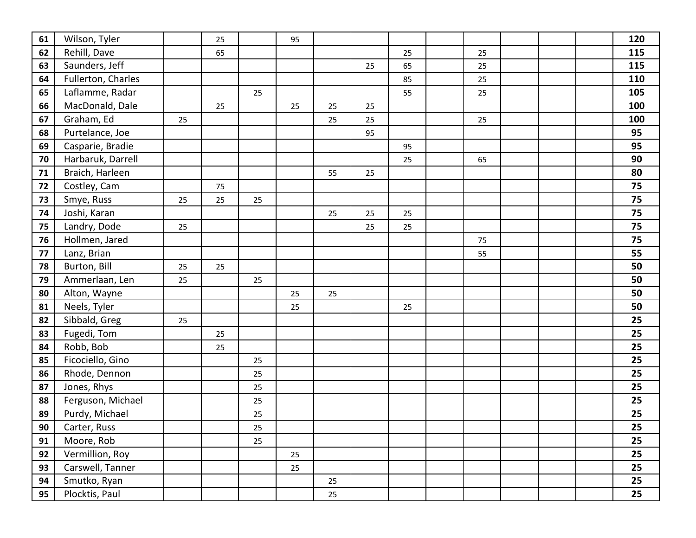| 61 | Wilson, Tyler      |    | 25 |    | 95 |    |    |    |    |  | 120 |
|----|--------------------|----|----|----|----|----|----|----|----|--|-----|
| 62 | Rehill, Dave       |    | 65 |    |    |    |    | 25 | 25 |  | 115 |
| 63 | Saunders, Jeff     |    |    |    |    |    | 25 | 65 | 25 |  | 115 |
| 64 | Fullerton, Charles |    |    |    |    |    |    | 85 | 25 |  | 110 |
| 65 | Laflamme, Radar    |    |    | 25 |    |    |    | 55 | 25 |  | 105 |
| 66 | MacDonald, Dale    |    | 25 |    | 25 | 25 | 25 |    |    |  | 100 |
| 67 | Graham, Ed         | 25 |    |    |    | 25 | 25 |    | 25 |  | 100 |
| 68 | Purtelance, Joe    |    |    |    |    |    | 95 |    |    |  | 95  |
| 69 | Casparie, Bradie   |    |    |    |    |    |    | 95 |    |  | 95  |
| 70 | Harbaruk, Darrell  |    |    |    |    |    |    | 25 | 65 |  | 90  |
| 71 | Braich, Harleen    |    |    |    |    | 55 | 25 |    |    |  | 80  |
| 72 | Costley, Cam       |    | 75 |    |    |    |    |    |    |  | 75  |
| 73 | Smye, Russ         | 25 | 25 | 25 |    |    |    |    |    |  | 75  |
| 74 | Joshi, Karan       |    |    |    |    | 25 | 25 | 25 |    |  | 75  |
| 75 | Landry, Dode       | 25 |    |    |    |    | 25 | 25 |    |  | 75  |
| 76 | Hollmen, Jared     |    |    |    |    |    |    |    | 75 |  | 75  |
| 77 | Lanz, Brian        |    |    |    |    |    |    |    | 55 |  | 55  |
| 78 | Burton, Bill       | 25 | 25 |    |    |    |    |    |    |  | 50  |
| 79 | Ammerlaan, Len     | 25 |    | 25 |    |    |    |    |    |  | 50  |
| 80 | Alton, Wayne       |    |    |    | 25 | 25 |    |    |    |  | 50  |
| 81 | Neels, Tyler       |    |    |    | 25 |    |    | 25 |    |  | 50  |
| 82 | Sibbald, Greg      | 25 |    |    |    |    |    |    |    |  | 25  |
| 83 | Fugedi, Tom        |    | 25 |    |    |    |    |    |    |  | 25  |
| 84 | Robb, Bob          |    | 25 |    |    |    |    |    |    |  | 25  |
| 85 | Ficociello, Gino   |    |    | 25 |    |    |    |    |    |  | 25  |
| 86 | Rhode, Dennon      |    |    | 25 |    |    |    |    |    |  | 25  |
| 87 | Jones, Rhys        |    |    | 25 |    |    |    |    |    |  | 25  |
| 88 | Ferguson, Michael  |    |    | 25 |    |    |    |    |    |  | 25  |
| 89 | Purdy, Michael     |    |    | 25 |    |    |    |    |    |  | 25  |
| 90 | Carter, Russ       |    |    | 25 |    |    |    |    |    |  | 25  |
| 91 | Moore, Rob         |    |    | 25 |    |    |    |    |    |  | 25  |
| 92 | Vermillion, Roy    |    |    |    | 25 |    |    |    |    |  | 25  |
| 93 | Carswell, Tanner   |    |    |    | 25 |    |    |    |    |  | 25  |
| 94 | Smutko, Ryan       |    |    |    |    | 25 |    |    |    |  | 25  |
| 95 | Plocktis, Paul     |    |    |    |    | 25 |    |    |    |  | 25  |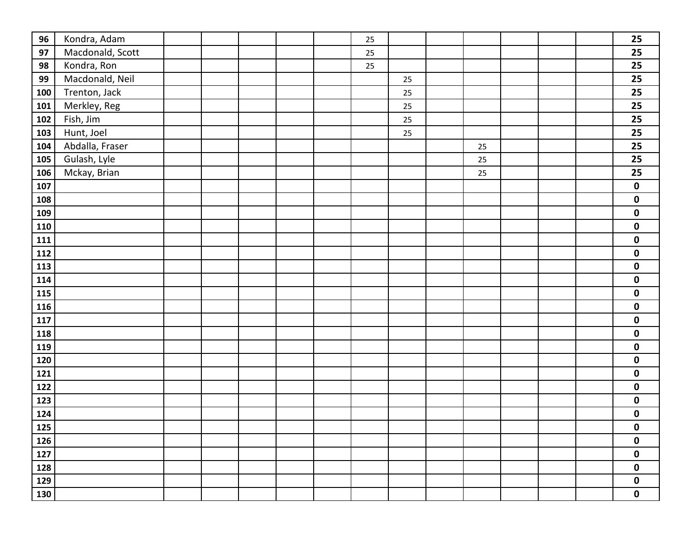| 96  | Kondra, Adam     |  |  | 25 |        |    |  | 25          |
|-----|------------------|--|--|----|--------|----|--|-------------|
| 97  | Macdonald, Scott |  |  | 25 |        |    |  | 25          |
| 98  | Kondra, Ron      |  |  | 25 |        |    |  | 25          |
| 99  | Macdonald, Neil  |  |  |    | 25     |    |  | 25          |
| 100 | Trenton, Jack    |  |  |    | 25     |    |  | 25          |
| 101 | Merkley, Reg     |  |  |    | 25     |    |  | 25          |
| 102 | Fish, Jim        |  |  |    | $25\,$ |    |  | 25          |
| 103 | Hunt, Joel       |  |  |    | 25     |    |  | 25          |
| 104 | Abdalla, Fraser  |  |  |    |        | 25 |  | 25          |
| 105 | Gulash, Lyle     |  |  |    |        | 25 |  | 25          |
| 106 | Mckay, Brian     |  |  |    |        | 25 |  | 25          |
| 107 |                  |  |  |    |        |    |  | $\mathbf 0$ |
| 108 |                  |  |  |    |        |    |  | $\pmb{0}$   |
| 109 |                  |  |  |    |        |    |  | $\pmb{0}$   |
| 110 |                  |  |  |    |        |    |  | $\mathbf 0$ |
| 111 |                  |  |  |    |        |    |  | $\pmb{0}$   |
| 112 |                  |  |  |    |        |    |  | $\mathbf 0$ |
| 113 |                  |  |  |    |        |    |  | $\mathbf 0$ |
| 114 |                  |  |  |    |        |    |  | $\mathbf 0$ |
| 115 |                  |  |  |    |        |    |  | $\mathbf 0$ |
| 116 |                  |  |  |    |        |    |  | $\pmb{0}$   |
| 117 |                  |  |  |    |        |    |  | $\mathbf 0$ |
| 118 |                  |  |  |    |        |    |  | $\pmb{0}$   |
| 119 |                  |  |  |    |        |    |  | $\mathbf 0$ |
| 120 |                  |  |  |    |        |    |  | $\pmb{0}$   |
| 121 |                  |  |  |    |        |    |  | $\mathbf 0$ |
| 122 |                  |  |  |    |        |    |  | $\mathbf 0$ |
| 123 |                  |  |  |    |        |    |  | $\pmb{0}$   |
| 124 |                  |  |  |    |        |    |  | $\mathbf 0$ |
| 125 |                  |  |  |    |        |    |  | $\pmb{0}$   |
| 126 |                  |  |  |    |        |    |  | $\pmb{0}$   |
| 127 |                  |  |  |    |        |    |  | $\pmb{0}$   |
| 128 |                  |  |  |    |        |    |  | $\pmb{0}$   |
| 129 |                  |  |  |    |        |    |  | $\pmb{0}$   |
| 130 |                  |  |  |    |        |    |  | $\mathbf 0$ |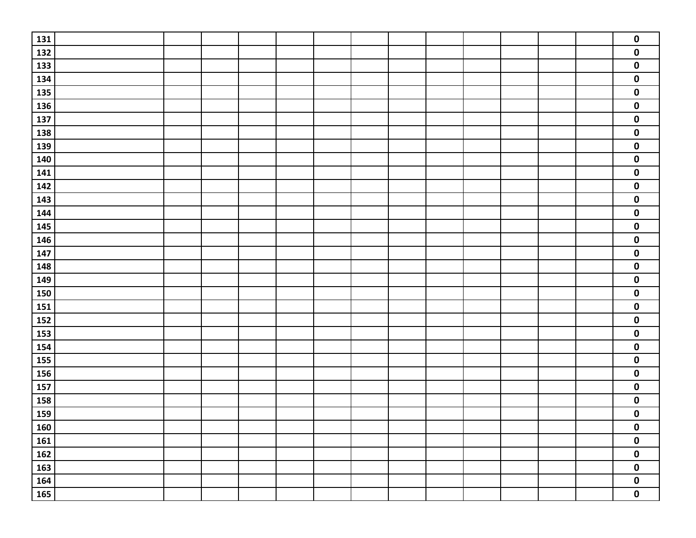| 131             |  |  |  |  |  |  | $\pmb{0}$               |
|-----------------|--|--|--|--|--|--|-------------------------|
| 132             |  |  |  |  |  |  | $\pmb{0}$               |
| 133             |  |  |  |  |  |  | $\pmb{0}$               |
| 134             |  |  |  |  |  |  | $\pmb{0}$               |
| <b>135</b>      |  |  |  |  |  |  | $\pmb{0}$               |
| <b>136</b>      |  |  |  |  |  |  | $\pmb{0}$               |
| 137             |  |  |  |  |  |  | $\pmb{0}$               |
| 138             |  |  |  |  |  |  | $\pmb{0}$               |
| <b>139</b>      |  |  |  |  |  |  | $\pmb{0}$               |
| 140             |  |  |  |  |  |  | $\pmb{0}$               |
| 141             |  |  |  |  |  |  | $\pmb{0}$               |
| 142             |  |  |  |  |  |  | $\pmb{0}$               |
| 143             |  |  |  |  |  |  | $\pmb{0}$               |
| 144             |  |  |  |  |  |  | $\pmb{0}$               |
| <b>145</b>      |  |  |  |  |  |  | $\mathbf 0$             |
| 146             |  |  |  |  |  |  | $\mathbf 0$             |
| 147             |  |  |  |  |  |  | $\pmb{0}$               |
| 148             |  |  |  |  |  |  | $\pmb{0}$               |
| 149             |  |  |  |  |  |  | $\pmb{0}$               |
| <b>150</b>      |  |  |  |  |  |  | $\pmb{0}$               |
| $\frac{1}{151}$ |  |  |  |  |  |  | $\pmb{0}$               |
| 152             |  |  |  |  |  |  | $\pmb{0}$               |
| <b>153</b>      |  |  |  |  |  |  | $\pmb{0}$               |
| 154             |  |  |  |  |  |  | $\pmb{0}$               |
| <b>155</b>      |  |  |  |  |  |  | $\pmb{0}$               |
| <b>156</b>      |  |  |  |  |  |  | $\mathbf 0$             |
| 157             |  |  |  |  |  |  | $\pmb{0}$               |
| <b>158</b>      |  |  |  |  |  |  | $\pmb{0}$               |
| 159<br>160      |  |  |  |  |  |  | $\pmb{0}$               |
|                 |  |  |  |  |  |  | $\overline{\mathbf{0}}$ |
| 161             |  |  |  |  |  |  | $\pmb{0}$               |
| 162             |  |  |  |  |  |  | $\pmb{0}$               |
| 163             |  |  |  |  |  |  | $\pmb{0}$               |
| <b>164</b>      |  |  |  |  |  |  | $\pmb{0}$               |
| 165             |  |  |  |  |  |  | $\overline{\mathbf{0}}$ |